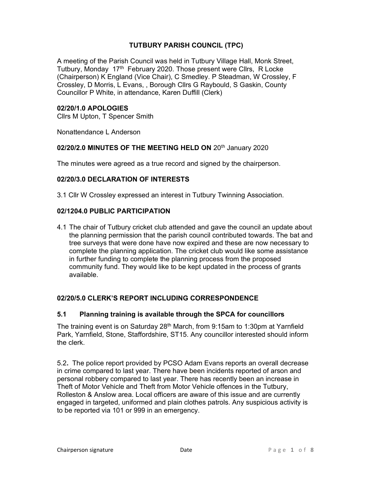# TUTBURY PARISH COUNCIL (TPC)

A meeting of the Parish Council was held in Tutbury Village Hall, Monk Street, Tutbury. Monday 17<sup>th</sup> February 2020. Those present were Cllrs, R Locke (Chairperson) K England (Vice Chair), C Smedley. P Steadman, W Crossley, F Crossley, D Morris, L Evans, , Borough Cllrs G Raybould, S Gaskin, County Councillor P White, in attendance, Karen Duffill (Clerk)

# 02/20/1.0 APOLOGIES

Cllrs M Upton, T Spencer Smith

Nonattendance L Anderson

#### 02/20/2.0 MINUTES OF THE MEETING HELD ON 20<sup>th</sup> January 2020

The minutes were agreed as a true record and signed by the chairperson.

# 02/20/3.0 DECLARATION OF INTERESTS

3.1 Cllr W Crossley expressed an interest in Tutbury Twinning Association.

# 02/1204.0 PUBLIC PARTICIPATION

4.1 The chair of Tutbury cricket club attended and gave the council an update about the planning permission that the parish council contributed towards. The bat and tree surveys that were done have now expired and these are now necessary to complete the planning application. The cricket club would like some assistance in further funding to complete the planning process from the proposed community fund. They would like to be kept updated in the process of grants available.

# 02/20/5.0 CLERK'S REPORT INCLUDING CORRESPONDENCE

# 5.1 Planning training is available through the SPCA for councillors

The training event is on Saturday 28<sup>th</sup> March, from 9:15am to 1:30pm at Yarnfield Park, Yarnfield, Stone, Staffordshire, ST15. Any councillor interested should inform the clerk.

5.2. The police report provided by PCSO Adam Evans reports an overall decrease in crime compared to last year. There have been incidents reported of arson and personal robbery compared to last year. There has recently been an increase in Theft of Motor Vehicle and Theft from Motor Vehicle offences in the Tutbury, Rolleston & Anslow area. Local officers are aware of this issue and are currently engaged in targeted, uniformed and plain clothes patrols. Any suspicious activity is to be reported via 101 or 999 in an emergency.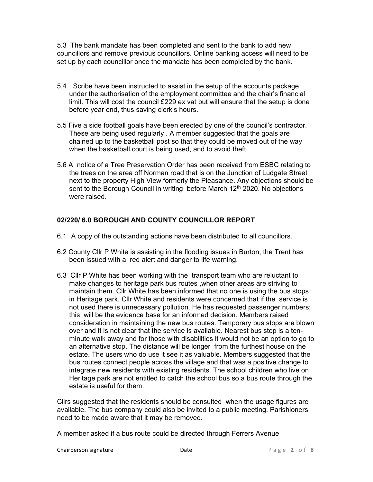5.3 The bank mandate has been completed and sent to the bank to add new councillors and remove previous councillors. Online banking access will need to be set up by each councillor once the mandate has been completed by the bank.

- 5.4 Scribe have been instructed to assist in the setup of the accounts package under the authorisation of the employment committee and the chair's financial limit. This will cost the council £229 ex vat but will ensure that the setup is done before year end, thus saving clerk's hours.
- 5.5 Five a side football goals have been erected by one of the council's contractor. These are being used regularly . A member suggested that the goals are chained up to the basketball post so that they could be moved out of the way when the basketball court is being used, and to avoid theft.
- 5.6 A notice of a Tree Preservation Order has been received from ESBC relating to the trees on the area off Norman road that is on the Junction of Ludgate Street next to the property High View formerly the Pleasance. Any objections should be sent to the Borough Council in writing before March  $12<sup>th</sup>$  2020. No objections were raised.

# 02/220/ 6.0 BOROUGH AND COUNTY COUNCILLOR REPORT

- 6.1 A copy of the outstanding actions have been distributed to all councillors.
- 6.2 County Cllr P White is assisting in the flooding issues in Burton, the Trent has been issued with a red alert and danger to life warning.
- 6.3 Cllr P White has been working with the transport team who are reluctant to make changes to heritage park bus routes ,when other areas are striving to maintain them. Cllr White has been informed that no one is using the bus stops in Heritage park. Cllr White and residents were concerned that if the service is not used there is unnecessary pollution. He has requested passenger numbers; this will be the evidence base for an informed decision. Members raised consideration in maintaining the new bus routes. Temporary bus stops are blown over and it is not clear that the service is available. Nearest bus stop is a tenminute walk away and for those with disabilities it would not be an option to go to an alternative stop. The distance will be longer from the furthest house on the estate. The users who do use it see it as valuable. Members suggested that the bus routes connect people across the village and that was a positive change to integrate new residents with existing residents. The school children who live on Heritage park are not entitled to catch the school bus so a bus route through the estate is useful for them.

Cllrs suggested that the residents should be consulted when the usage figures are available. The bus company could also be invited to a public meeting. Parishioners need to be made aware that it may be removed.

A member asked if a bus route could be directed through Ferrers Avenue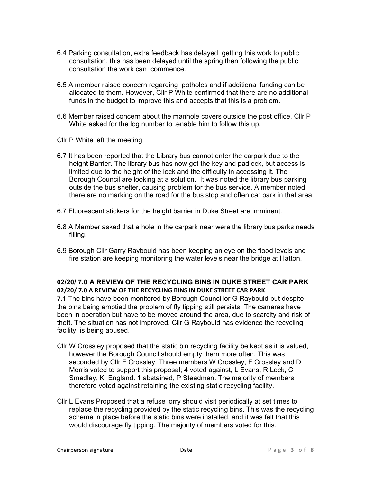- 6.4 Parking consultation, extra feedback has delayed getting this work to public consultation, this has been delayed until the spring then following the public consultation the work can commence.
- 6.5 A member raised concern regarding potholes and if additional funding can be allocated to them. However, Cllr P White confirmed that there are no additional funds in the budget to improve this and accepts that this is a problem.
- 6.6 Member raised concern about the manhole covers outside the post office. Cllr P White asked for the log number to .enable him to follow this up.
- Cllr P White left the meeting.

.

- 6.7 It has been reported that the Library bus cannot enter the carpark due to the height Barrier. The library bus has now got the key and padlock, but access is limited due to the height of the lock and the difficulty in accessing it. The Borough Council are looking at a solution. It was noted the library bus parking outside the bus shelter, causing problem for the bus service. A member noted there are no marking on the road for the bus stop and often car park in that area,
- 6.7 Fluorescent stickers for the height barrier in Duke Street are imminent.
- 6.8 A Member asked that a hole in the carpark near were the library bus parks needs filling.
- 6.9 Borough Cllr Garry Raybould has been keeping an eye on the flood levels and fire station are keeping monitoring the water levels near the bridge at Hatton.

# 02/20/ 7.0 A REVIEW OF THE RECYCLING BINS IN DUKE STREET CAR PARK 02/20/ 7.0 A REVIEW OF THE RECYCLING BINS IN DUKE STREET CAR PARK

7.1 The bins have been monitored by Borough Councillor G Raybould but despite the bins being emptied the problem of fly tipping still persists. The cameras have been in operation but have to be moved around the area, due to scarcity and risk of theft. The situation has not improved. Cllr G Raybould has evidence the recycling facility is being abused.

- Cllr W Crossley proposed that the static bin recycling facility be kept as it is valued, however the Borough Council should empty them more often. This was seconded by Cllr F Crossley. Three members W Crossley, F Crossley and D Morris voted to support this proposal; 4 voted against, L Evans, R Lock, C Smedley, K England. 1 abstained, P Steadman. The majority of members therefore voted against retaining the existing static recycling facility.
- Cllr L Evans Proposed that a refuse lorry should visit periodically at set times to replace the recycling provided by the static recycling bins. This was the recycling scheme in place before the static bins were installed, and it was felt that this would discourage fly tipping. The majority of members voted for this.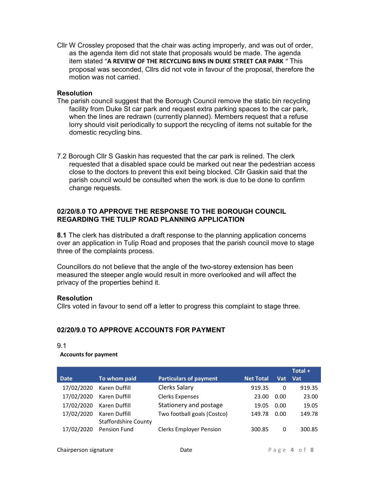Cllr W Crossley proposed that the chair was acting improperly, and was out of order, as the agenda item did not state that proposals would be made. The agenda item stated "A REVIEW OF THE RECYCLING BINS IN DUKE STREET CAR PARK " This proposal was seconded, Cllrs did not vote in favour of the proposal, therefore the motion was not carried.

#### **Resolution**

- The parish council suggest that the Borough Council remove the static bin recycling facility from Duke St car park and request extra parking spaces to the car park, when the lines are redrawn (currently planned). Members request that a refuse lorry should visit periodically to support the recycling of items not suitable for the domestic recycling bins.
- 7.2 Borough Cllr S Gaskin has requested that the car park is relined. The clerk requested that a disabled space could be marked out near the pedestrian access close to the doctors to prevent this exit being blocked. Cllr Gaskin said that the parish council would be consulted when the work is due to be done to confirm change requests.

# 02/20/8.0 TO APPROVE THE RESPONSE TO THE BOROUGH COUNCIL REGARDING THE TULIP ROAD PLANNING APPLICATION

8.1 The clerk has distributed a draft response to the planning application concerns over an application in Tulip Road and proposes that the parish council move to stage three of the complaints process.

Councillors do not believe that the angle of the two-storey extension has been measured the steeper angle would result in more overlooked and will affect the privacy of the properties behind it.

# **Resolution**

Cllrs voted in favour to send off a letter to progress this complaint to stage three.

# 02/20/9.0 TO APPROVE ACCOUNTS FOR PAYMENT

#### 9.1

#### Accounts for payment

|             |                             |                                |                  |      | Total + |
|-------------|-----------------------------|--------------------------------|------------------|------|---------|
| <b>Date</b> | To whom paid                | <b>Particulars of payment</b>  | <b>Net Total</b> | Vat  | Vat     |
| 17/02/2020  | Karen Duffill               | <b>Clerks Salary</b>           | 919.35           | 0    | 919.35  |
| 17/02/2020  | Karen Duffill               | <b>Clerks Expenses</b>         | 23.00            | 0.00 | 23.00   |
| 17/02/2020  | Karen Duffill               | Stationery and postage         | 19.05            | 0.00 | 19.05   |
| 17/02/2020  | Karen Duffill               | Two football goals (Costco)    | 149.78           | 0.00 | 149.78  |
|             | <b>Staffordshire County</b> |                                |                  |      |         |
| 17/02/2020  | <b>Pension Fund</b>         | <b>Clerks Employer Pension</b> | 300.85           | 0    | 300.85  |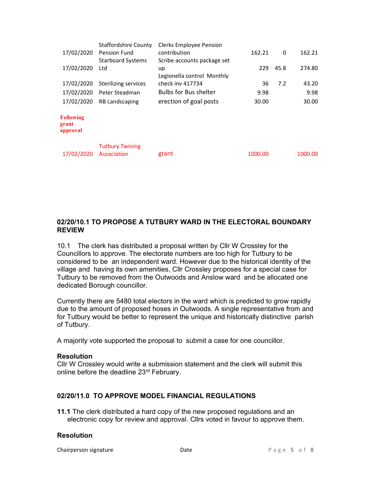|                                       | <b>Staffordshire County</b>           | <b>Clerks Employee Pension</b> |         |      |         |
|---------------------------------------|---------------------------------------|--------------------------------|---------|------|---------|
| 17/02/2020                            | <b>Pension Fund</b>                   | contribution                   | 162.21  | 0    | 162.21  |
|                                       | <b>Starboard Systems</b>              | Scribe accounts package set    |         |      |         |
| 17/02/2020                            | Ltd                                   | up                             | 229     | 45.8 | 274.80  |
|                                       |                                       | Legionella control Monthly     |         |      |         |
| 17/02/2020                            | Sterilizing services                  | check inv 417734               | 36      | 7.2  | 43.20   |
| 17/02/2020                            | Peter Steadman                        | <b>Bulbs for Bus shelter</b>   | 9.98    |      | 9.98    |
| 17/02/2020                            | <b>RB Landscaping</b>                 | erection of goal posts         | 30.00   |      | 30.00   |
| <b>Following</b><br>grant<br>approval |                                       |                                |         |      |         |
| 17/02/2020                            | <b>Tutbury Twining</b><br>Association | grant                          | 1000.00 |      | 1000.00 |
|                                       |                                       |                                |         |      |         |

# 02/20/10.1 TO PROPOSE A TUTBURY WARD IN THE ELECTORAL BOUNDARY REVIEW

10.1 The clerk has distributed a proposal written by Cllr W Crossley for the Councillors to approve. The electorate numbers are too high for Tutbury to be considered to be an independent ward. However due to the historical identity of the village and having its own amenities, Cllr Crossley proposes for a special case for Tutbury to be removed from the Outwoods and Anslow ward and be allocated one dedicated Borough councillor.

Currently there are 5480 total electors in the ward which is predicted to grow rapidly due to the amount of proposed hoses in Outwoods. A single representative from and for Tutbury would be better to represent the unique and historically distinctive parish of Tutbury.

A majority vote supported the proposal to submit a case for one councillor.

# Resolution

Cllr W Crossley would write a submission statement and the clerk will submit this online before the deadline 23rd February.

# 02/20/11.0 TO APPROVE MODEL FINANCIAL REGULATIONS

11.1 The clerk distributed a hard copy of the new proposed regulations and an electronic copy for review and approval. Cllrs voted in favour to approve them.

# **Resolution**

Chairperson signature The Chairperson signature and Date of 8 and 2011 and 2012 and 2012 and 2013 and 2013 and 2013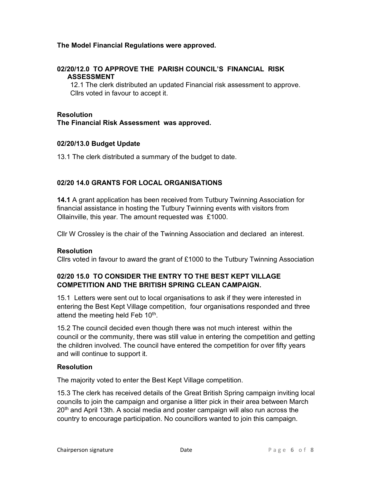# The Model Financial Regulations were approved.

# 02/20/12.0 TO APPROVE THE PARISH COUNCIL'S FINANCIAL RISK ASSESSMENT

12.1 The clerk distributed an updated Financial risk assessment to approve. Cllrs voted in favour to accept it.

### **Resolution**

The Financial Risk Assessment was approved.

#### 02/20/13.0 Budget Update

13.1 The clerk distributed a summary of the budget to date.

# 02/20 14.0 GRANTS FOR LOCAL ORGANISATIONS

14.1 A grant application has been received from Tutbury Twinning Association for financial assistance in hosting the Tutbury Twinning events with visitors from Ollainville, this year. The amount requested was £1000.

Cllr W Crossley is the chair of the Twinning Association and declared an interest.

# Resolution

Cllrs voted in favour to award the grant of £1000 to the Tutbury Twinning Association

# 02/20 15.0 TO CONSIDER THE ENTRY TO THE BEST KEPT VILLAGE COMPETITION AND THE BRITISH SPRING CLEAN CAMPAIGN.

15.1 Letters were sent out to local organisations to ask if they were interested in entering the Best Kept Village competition, four organisations responded and three attend the meeting held Feb 10<sup>th</sup>.

15.2 The council decided even though there was not much interest within the council or the community, there was still value in entering the competition and getting the children involved. The council have entered the competition for over fifty years and will continue to support it.

# Resolution

The majority voted to enter the Best Kept Village competition.

15.3 The clerk has received details of the Great British Spring campaign inviting local councils to join the campaign and organise a litter pick in their area between March 20<sup>th</sup> and April 13th. A social media and poster campaign will also run across the country to encourage participation. No councillors wanted to join this campaign.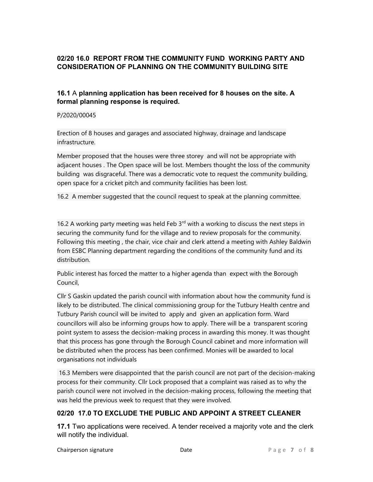# 02/20 16.0 REPORT FROM THE COMMUNITY FUND WORKING PARTY AND CONSIDERATION OF PLANNING ON THE COMMUNITY BUILDING SITE

# 16.1 A planning application has been received for 8 houses on the site. A formal planning response is required.

### P/2020/00045

Erection of 8 houses and garages and associated highway, drainage and landscape infrastructure.

Member proposed that the houses were three storey and will not be appropriate with adjacent houses . The Open space will be lost. Members thought the loss of the community building was disgraceful. There was a democratic vote to request the community building, open space for a cricket pitch and community facilities has been lost.

16.2 A member suggested that the council request to speak at the planning committee.

16.2 A working party meeting was held Feb  $3<sup>rd</sup>$  with a working to discuss the next steps in securing the community fund for the village and to review proposals for the community. Following this meeting , the chair, vice chair and clerk attend a meeting with Ashley Baldwin from ESBC Planning department regarding the conditions of the community fund and its distribution.

Public interest has forced the matter to a higher agenda than expect with the Borough Council,

Cllr S Gaskin updated the parish council with information about how the community fund is likely to be distributed. The clinical commissioning group for the Tutbury Health centre and Tutbury Parish council will be invited to apply and given an application form. Ward councillors will also be informing groups how to apply. There will be a transparent scoring point system to assess the decision-making process in awarding this money. It was thought that this process has gone through the Borough Council cabinet and more information will be distributed when the process has been confirmed. Monies will be awarded to local organisations not individuals

 16.3 Members were disappointed that the parish council are not part of the decision-making process for their community. Cllr Lock proposed that a complaint was raised as to why the parish council were not involved in the decision-making process, following the meeting that was held the previous week to request that they were involved.

# 02/20 17.0 TO EXCLUDE THE PUBLIC AND APPOINT A STREET CLEANER

17.1 Two applications were received. A tender received a majority vote and the clerk will notify the individual.